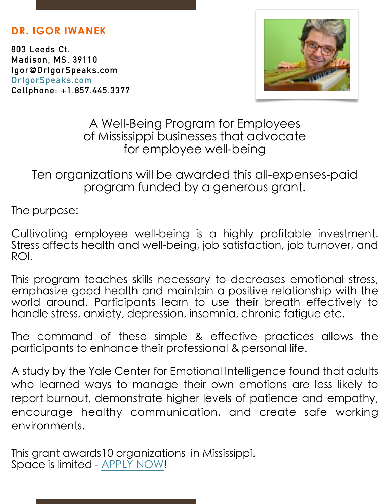## **DR. IGOR IWANEK**

**803 Leeds Ct. Madison, MS, 39110 Igor@DrIgorSpeaks.com [DrIgorSpeaks.com](http://DrIgorSpeaks.com) Cellphone: +1.857.445.3377** 



A Well-Being Program for Employees of Mississippi businesses that advocate for employee well-being

Ten organizations will be awarded this all-expenses-paid program funded by a generous grant.

The purpose:

Cultivating employee well-being is a highly profitable investment. Stress affects health and well-being, job satisfaction, job turnover, and ROI.

This program teaches skills necessary to decreases emotional stress, emphasize good health and maintain a positive relationship with the world around. Participants learn to use their breath effectively to handle stress, anxiety, depression, insomnia, chronic fatigue etc.

The command of these simple & effective practices allows the participants to enhance their professional & personal life.

A study by the Yale Center for Emotional Intelligence found that adults who learned ways to manage their own emotions are less likely to report burnout, demonstrate higher levels of patience and empathy, encourage healthy communication, and create safe working environments.

This grant awards10 organizations in Mississippi. Space is limited - [APPLY NOW!](https://forms.gle/1yCH1QD82m17zWN57)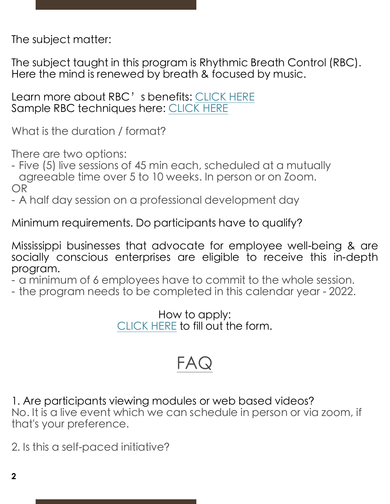The subject matter:

The subject taught in this program is Rhythmic Breath Control (RBC). Here the mind is renewed by breath & focused by music.

Learn more about RBC' s benefits: [CLICK HERE](https://www.drigorspeaks.com/) Sample RBC techniques here: [CLICK HERE](https://www.drigorspeaks.com/tryrbc)

What is the duration / format?

There are two options:

- Five (5) live sessions of 45 min each, scheduled at a mutually agreeable time over 5 to 10 weeks. In person or on Zoom. OR

- A half day session on a professional development day

Minimum requirements. Do participants have to qualify?

Mississippi businesses that advocate for employee well-being & are socially conscious enterprises are eligible to receive this in-depth program.

- a minimum of 6 employees have to commit to the whole session.

- the program needs to be completed in this calendar year - 2022.

How to apply: [CLICK HERE](https://forms.gle/1yCH1QD82m17zWN57) to fill out the form.

## FA

1. Are participants viewing modules or web based videos? No. It is a live event which we can schedule in person or via zoom, if that's your preference.

2. Is this a self-paced initiative?